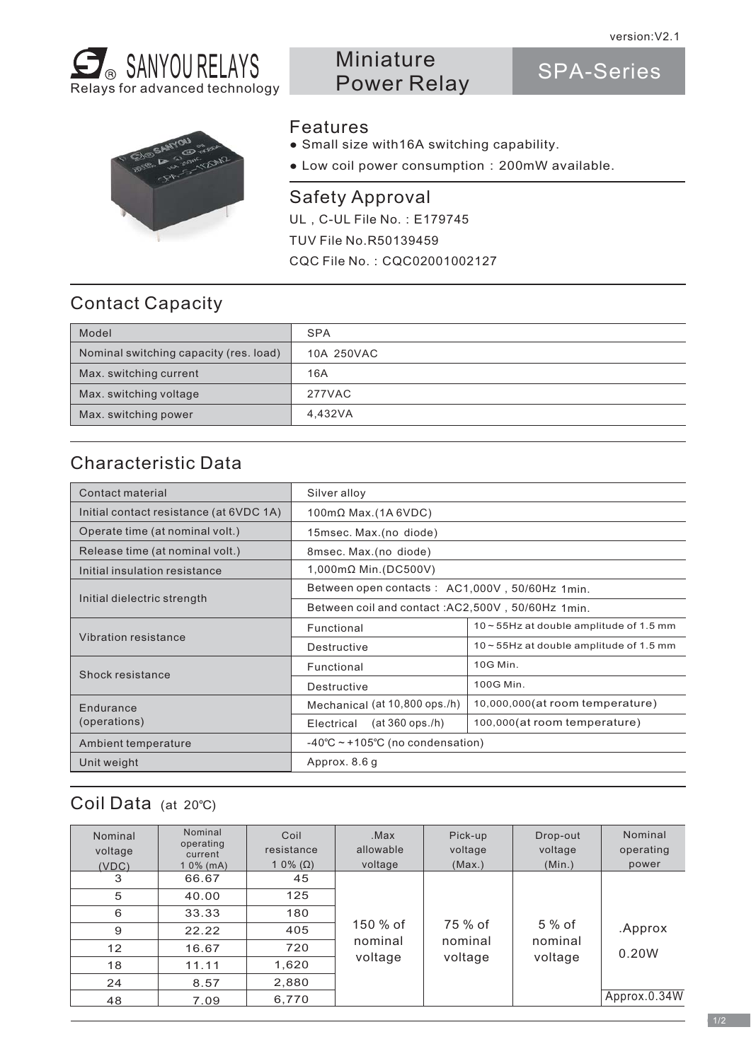SPA-Series



# Miniature Power Relay

# Features

● Small size with16A switching capability.

● Low coil power consumption:200mW available.

UL, C-UL File No.: E179745 CQC File No.:CQC02001002127 TUV File No.R50139459 Safety Approval

# Contact Capacity

| Model                                  | <b>SPA</b> |
|----------------------------------------|------------|
| Nominal switching capacity (res. load) | 10A 250VAC |
| Max. switching current                 | 16A        |
| Max. switching voltage                 | 277VAC     |
| Max. switching power                   | 4,432VA    |

# Characteristic Data

| Contact material                        | Silver alloy                                      |                                            |  |  |
|-----------------------------------------|---------------------------------------------------|--------------------------------------------|--|--|
| Initial contact resistance (at 6VDC 1A) | $100 \text{m}\Omega$ Max.(1A 6VDC)                |                                            |  |  |
| Operate time (at nominal volt.)         | 15msec. Max. (no diode)                           |                                            |  |  |
| Release time (at nominal volt.)         | 8msec. Max. (no diode)                            |                                            |  |  |
| Initial insulation resistance           | $1,000 \text{mA}$ Min. (DC500V)                   |                                            |  |  |
| Initial dielectric strength             | Between open contacts: AC1,000V, 50/60Hz 1min.    |                                            |  |  |
|                                         | Between coil and contact: AC2,500V, 50/60Hz 1min. |                                            |  |  |
| Vibration resistance                    | Functional                                        | $10 - 55$ Hz at double amplitude of 1.5 mm |  |  |
|                                         | Destructive                                       | $10 - 55$ Hz at double amplitude of 1.5 mm |  |  |
|                                         | Functional                                        | 10G Min.                                   |  |  |
| Shock resistance                        | Destructive                                       | 100G Min.                                  |  |  |
| Endurance                               | Mechanical (at 10,800 ops./h)                     | 10,000,000(at room temperature)            |  |  |
| (operations)                            | $(at 360$ ops./h)<br>Electrical                   | 100,000(at room temperature)               |  |  |
| Ambient temperature                     | $-40^{\circ}$ C ~ +105°C (no condensation)        |                                            |  |  |
| Unit weight                             | Approx. 8.6 g                                     |                                            |  |  |

### Coil Data (at 20℃)

| Nominal<br>voltage<br>(VDC) | Nominal<br>operating<br>current<br>$10\%$ (mA) | Coil<br>resistance<br>1 0% ( $\Omega$ ) | .Max<br>allowable<br>voltage    | Pick-up<br>voltage<br>(Max.)  | Drop-out<br>voltage<br>(Min.) | Nominal<br>operating<br>power |
|-----------------------------|------------------------------------------------|-----------------------------------------|---------------------------------|-------------------------------|-------------------------------|-------------------------------|
| 3                           | 66.67                                          | 45                                      | $150%$ of<br>nominal<br>voltage | 75 % of<br>nominal<br>voltage | 5 % of<br>nominal<br>voltage  |                               |
| 5                           | 40.00                                          | 125                                     |                                 |                               |                               |                               |
| 6                           | 33.33                                          | 180                                     |                                 |                               |                               |                               |
| 9                           | 22.22                                          | 405                                     |                                 |                               |                               | .Approx                       |
| 12                          | 16.67                                          | 720                                     |                                 |                               |                               | 0.20W                         |
| 18                          | 11.11                                          | 1,620                                   |                                 |                               |                               |                               |
| 24                          | 8.57                                           | 2,880                                   |                                 |                               |                               |                               |
| 48                          | 7.09                                           | 6,770                                   |                                 |                               |                               | Approx.0.34W                  |